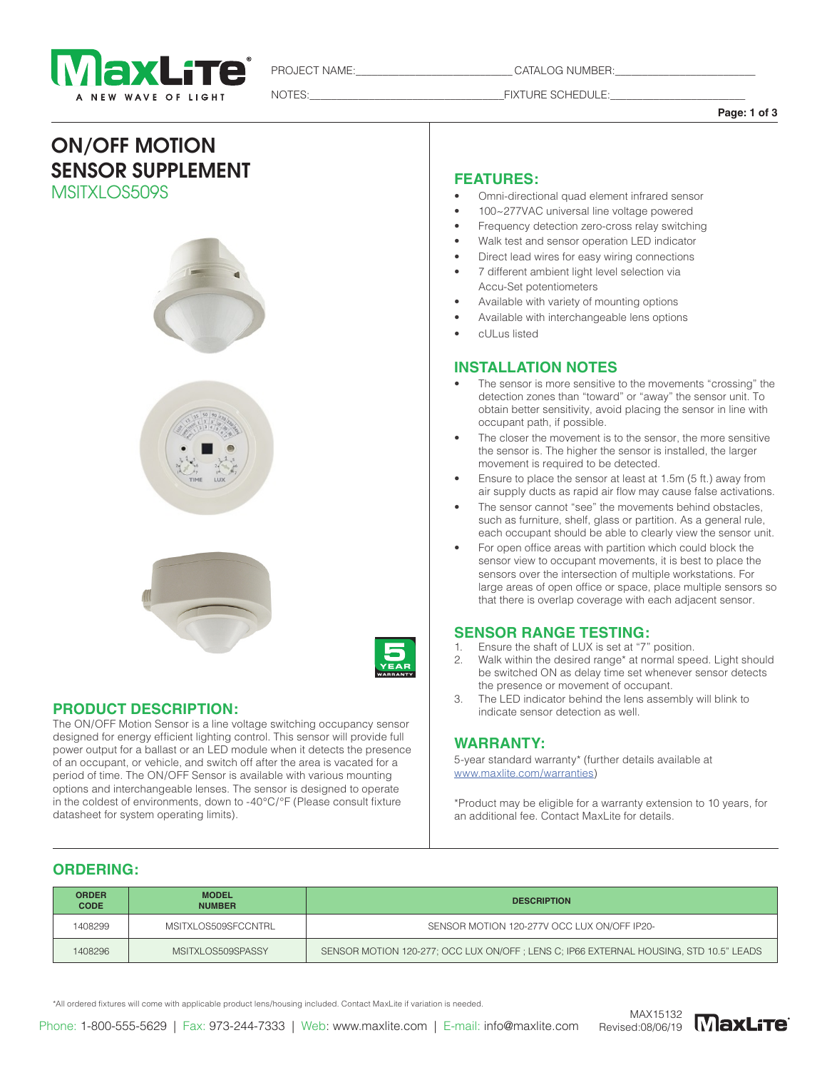

PROJECT NAME: The catalog number:

NOTES:\_\_\_\_\_\_\_\_\_\_\_\_\_\_\_\_\_\_\_\_\_\_\_\_\_\_\_\_\_\_\_\_\_\_\_\_FIXTURE SCHEDULE:\_\_\_\_\_\_\_\_\_\_\_\_\_\_\_\_\_\_\_\_\_\_\_\_\_

**Page: 1 of 3**

# ON/OFF MOTION SENSOR SUPPLEMENT MSITXLOS509S









## **PRODUCT DESCRIPTION:**

The ON/OFF Motion Sensor is a line voltage switching occupancy sensor designed for energy efficient lighting control. This sensor will provide full power output for a ballast or an LED module when it detects the presence of an occupant, or vehicle, and switch off after the area is vacated for a period of time. The ON/OFF Sensor is available with various mounting options and interchangeable lenses. The sensor is designed to operate in the coldest of environments, down to -40°C/°F (Please consult fixture datasheet for system operating limits).

#### **FEATURES:**

- Omni-directional quad element infrared sensor
- 100~277VAC universal line voltage powered
- Frequency detection zero-cross relay switching
- Walk test and sensor operation LED indicator
- Direct lead wires for easy wiring connections
- 7 different ambient light level selection via Accu-Set potentiometers
- Available with variety of mounting options
- Available with interchangeable lens options
- cULus listed

#### **INSTALLATION NOTES**

- The sensor is more sensitive to the movements "crossing" the detection zones than "toward" or "away" the sensor unit. To obtain better sensitivity, avoid placing the sensor in line with occupant path, if possible.
- The closer the movement is to the sensor, the more sensitive the sensor is. The higher the sensor is installed, the larger movement is required to be detected.
- Ensure to place the sensor at least at 1.5m (5 ft.) away from air supply ducts as rapid air flow may cause false activations.
- The sensor cannot "see" the movements behind obstacles, such as furniture, shelf, glass or partition. As a general rule, each occupant should be able to clearly view the sensor unit.
- For open office areas with partition which could block the sensor view to occupant movements, it is best to place the sensors over the intersection of multiple workstations. For large areas of open office or space, place multiple sensors so that there is overlap coverage with each adjacent sensor.

# **SENSOR RANGE TESTING:**<br>**1** Fosure the shaft of LUX is set at "7"

- Ensure the shaft of LUX is set at "7" position.
- 2. Walk within the desired range\* at normal speed. Light should be switched ON as delay time set whenever sensor detects the presence or movement of occupant.
- 3. The LED indicator behind the lens assembly will blink to indicate sensor detection as well.

#### **WARRANTY:**

5-year standard warranty\* (further details available at [www.maxlite.com/warranties\)](http://www.maxlite.com/warranties)

\*Product may be eligible for a warranty extension to 10 years, for an additional fee. Contact MaxLite for details.

# **ORDERING:**

| <b>ORDER</b><br><b>CODE</b> | <b>MODEL</b><br><b>NUMBER</b> | <b>DESCRIPTION</b>                                                                    |  |  |  |
|-----------------------------|-------------------------------|---------------------------------------------------------------------------------------|--|--|--|
| 1408299                     | MSITXLOS509SFCCNTRL           | SENSOR MOTION 120-277V OCC LUX ON/OFF IP20-                                           |  |  |  |
| 1408296                     | MSITXLOS509SPASSY             | SENSOR MOTION 120-277; OCC LUX ON/OFF; LENS C; IP66 EXTERNAL HOUSING, STD 10.5" LEADS |  |  |  |

\*All ordered fixtures will come with applicable product lens/housing included. Contact MaxLite if variation is needed.

Phone: 1-800-555-5629 | Fax: 973-244-7333 | Web: www.maxlite.com | E-mail: info@maxlite.com

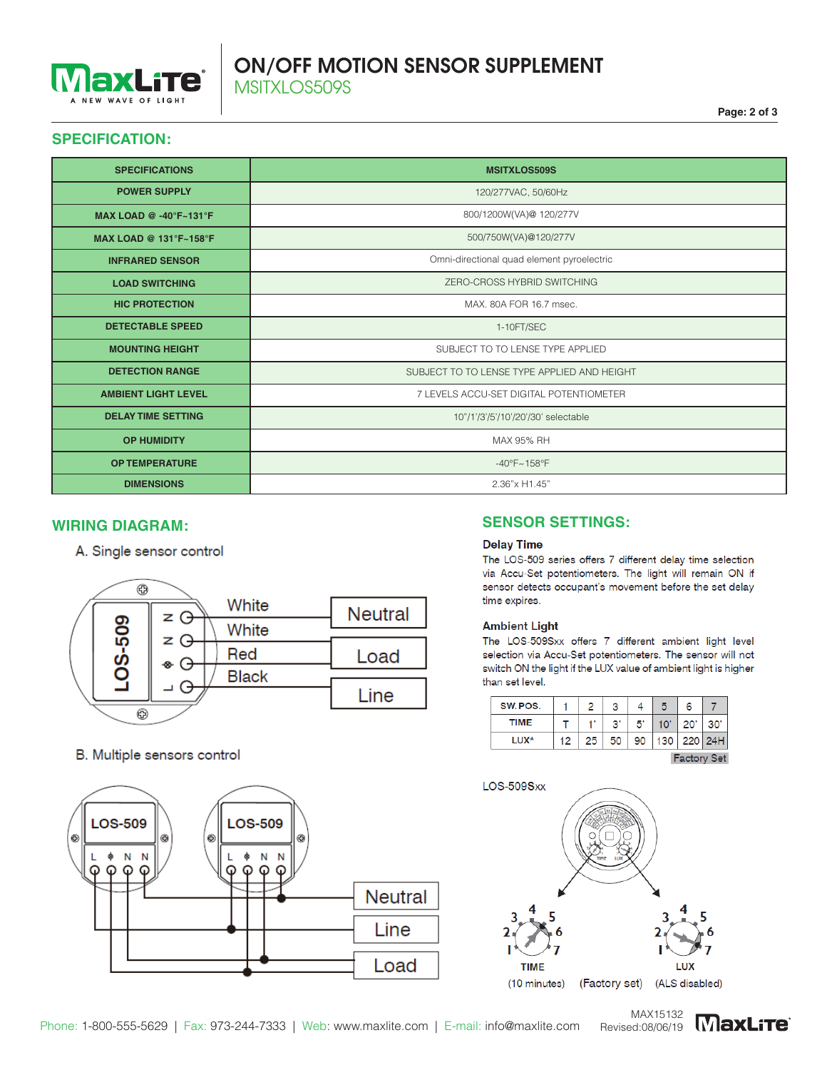

# ON/OFF MOTION SENSOR SUPPLEMENT MSITXLOS509S

## **SPECIFICATION:**

| <b>SPECIFICATIONS</b>                    | <b>MSITXLOS509S</b>                         |  |  |  |  |
|------------------------------------------|---------------------------------------------|--|--|--|--|
| <b>POWER SUPPLY</b>                      | 120/277VAC, 50/60Hz                         |  |  |  |  |
| <b>MAX LOAD @ -40°F~131°F</b>            | 800/1200W(VA)@ 120/277V                     |  |  |  |  |
| MAX LOAD @ $131^{\circ}F - 158^{\circ}F$ | 500/750W(VA)@120/277V                       |  |  |  |  |
| <b>INFRARED SENSOR</b>                   | Omni-directional quad element pyroelectric  |  |  |  |  |
| <b>LOAD SWITCHING</b>                    | ZERO-CROSS HYBRID SWITCHING                 |  |  |  |  |
| <b>HIC PROTECTION</b>                    | MAX, 80A FOR 16.7 msec.                     |  |  |  |  |
| <b>DETECTABLE SPEED</b>                  | 1-10FT/SEC                                  |  |  |  |  |
| <b>MOUNTING HEIGHT</b>                   | SUBJECT TO TO LENSE TYPE APPLIED            |  |  |  |  |
| <b>DETECTION RANGE</b>                   | SUBJECT TO TO LENSE TYPE APPLIED AND HEIGHT |  |  |  |  |
| <b>AMBIENT LIGHT LEVEL</b>               | 7 LEVELS ACCU-SET DIGITAL POTENTIOMETER     |  |  |  |  |
| <b>DELAY TIME SETTING</b>                | 10"/1'/3'/5'/10'/20'/30' selectable         |  |  |  |  |
| <b>OP HUMIDITY</b>                       | MAX 95% RH                                  |  |  |  |  |
| <b>OP TEMPERATURE</b>                    | $-40^{\circ}F - 158^{\circ}F$               |  |  |  |  |
| <b>DIMENSIONS</b>                        | 2.36"x H1.45"                               |  |  |  |  |

A. Single sensor control



#### B. Multiple sensors control



# **WIRING DIAGRAM: SENSOR SETTINGS:**

#### **Delay Time**

The LOS-509 series offers 7 different delay time selection via Accu-Set potentiometers. The light will remain ON if sensor detects occupant's movement before the set delay time expires.

#### **Ambient Light**

The LOS-509Sxx offers 7 different ambient light level selection via Accu-Set potentiometers. The sensor will not switch ON the light if the LUX value of ambient light is higher than set level.

| SW. POS.      |    |    | ິ                     |    | 5   | 6   |     |  |  |
|---------------|----|----|-----------------------|----|-----|-----|-----|--|--|
| <b>TIME</b>   |    |    | $\mathbf{R}^{\prime}$ | 5' |     | 20  | 30' |  |  |
| LUX*          | 12 | 25 | 50                    | 90 | 130 | 220 | 24H |  |  |
| . .<br>$\sim$ |    |    |                       |    |     |     |     |  |  |



Phone: 1-800-555-5629 | Fax: 973-244-7333 | Web: www.maxlite.com | E-mail: info@maxlite.com Revised:08/06/19